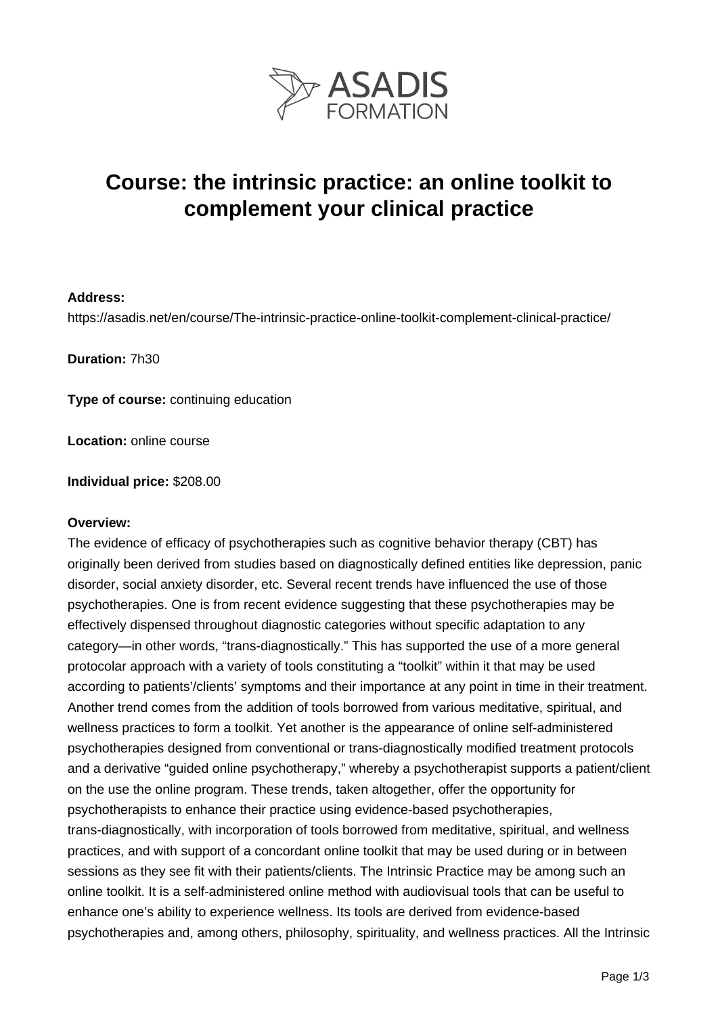

# **Course: the intrinsic practice: an online toolkit to complement your clinical practice**

### **Address:**

https://asadis.net/en/course/The-intrinsic-practice-online-toolkit-complement-clinical-practice/

**Duration:** 7h30

**Type of course:** continuing education

**Location:** online course

**Individual price:** \$208.00

#### **Overview:**

The evidence of efficacy of psychotherapies such as cognitive behavior therapy (CBT) has originally been derived from studies based on diagnostically defined entities like depression, panic disorder, social anxiety disorder, etc. Several recent trends have influenced the use of those psychotherapies. One is from recent evidence suggesting that these psychotherapies may be effectively dispensed throughout diagnostic categories without specific adaptation to any category—in other words, "trans-diagnostically." This has supported the use of a more general protocolar approach with a variety of tools constituting a "toolkit" within it that may be used according to patients'/clients' symptoms and their importance at any point in time in their treatment. Another trend comes from the addition of tools borrowed from various meditative, spiritual, and wellness practices to form a toolkit. Yet another is the appearance of online self-administered psychotherapies designed from conventional or trans-diagnostically modified treatment protocols and a derivative "guided online psychotherapy," whereby a psychotherapist supports a patient/client on the use the online program. These trends, taken altogether, offer the opportunity for psychotherapists to enhance their practice using evidence-based psychotherapies, trans-diagnostically, with incorporation of tools borrowed from meditative, spiritual, and wellness practices, and with support of a concordant online toolkit that may be used during or in between sessions as they see fit with their patients/clients. The Intrinsic Practice may be among such an online toolkit. It is a self-administered online method with audiovisual tools that can be useful to enhance one's ability to experience wellness. Its tools are derived from evidence-based psychotherapies and, among others, philosophy, spirituality, and wellness practices. All the Intrinsic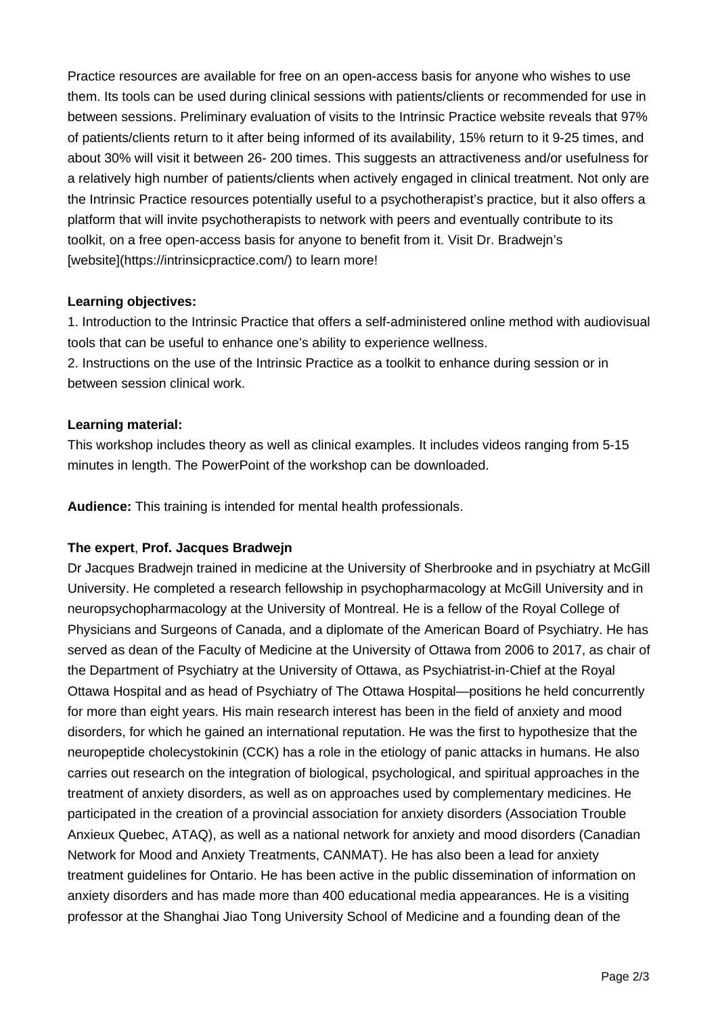Practice resources are available for free on an open-access basis for anyone who wishes to use them. Its tools can be used during clinical sessions with patients/clients or recommended for use in between sessions. Preliminary evaluation of visits to the Intrinsic Practice website reveals that 97% of patients/clients return to it after being informed of its availability, 15% return to it 9-25 times, and about 30% will visit it between 26- 200 times. This suggests an attractiveness and/or usefulness for a relatively high number of patients/clients when actively engaged in clinical treatment. Not only are the Intrinsic Practice resources potentially useful to a psychotherapist's practice, but it also offers a platform that will invite psychotherapists to network with peers and eventually contribute to its toolkit, on a free open-access basis for anyone to benefit from it. Visit Dr. Bradwejn's [website](https://intrinsicpractice.com/) to learn more!

## **Learning objectives:**

1. Introduction to the Intrinsic Practice that offers a self-administered online method with audiovisual tools that can be useful to enhance one's ability to experience wellness.

2. Instructions on the use of the Intrinsic Practice as a toolkit to enhance during session or in between session clinical work.

# **Learning material:**

This workshop includes theory as well as clinical examples. It includes videos ranging from 5-15 minutes in length. The PowerPoint of the workshop can be downloaded.

**Audience:** This training is intended for mental health professionals.

# **The expert**, **Prof. Jacques Bradwejn**

Dr Jacques Bradwejn trained in medicine at the University of Sherbrooke and in psychiatry at McGill University. He completed a research fellowship in psychopharmacology at McGill University and in neuropsychopharmacology at the University of Montreal. He is a fellow of the Royal College of Physicians and Surgeons of Canada, and a diplomate of the American Board of Psychiatry. He has served as dean of the Faculty of Medicine at the University of Ottawa from 2006 to 2017, as chair of the Department of Psychiatry at the University of Ottawa, as Psychiatrist-in-Chief at the Royal Ottawa Hospital and as head of Psychiatry of The Ottawa Hospital—positions he held concurrently for more than eight years. His main research interest has been in the field of anxiety and mood disorders, for which he gained an international reputation. He was the first to hypothesize that the neuropeptide cholecystokinin (CCK) has a role in the etiology of panic attacks in humans. He also carries out research on the integration of biological, psychological, and spiritual approaches in the treatment of anxiety disorders, as well as on approaches used by complementary medicines. He participated in the creation of a provincial association for anxiety disorders (Association Trouble Anxieux Quebec, ATAQ), as well as a national network for anxiety and mood disorders (Canadian Network for Mood and Anxiety Treatments, CANMAT). He has also been a lead for anxiety treatment guidelines for Ontario. He has been active in the public dissemination of information on anxiety disorders and has made more than 400 educational media appearances. He is a visiting professor at the Shanghai Jiao Tong University School of Medicine and a founding dean of the